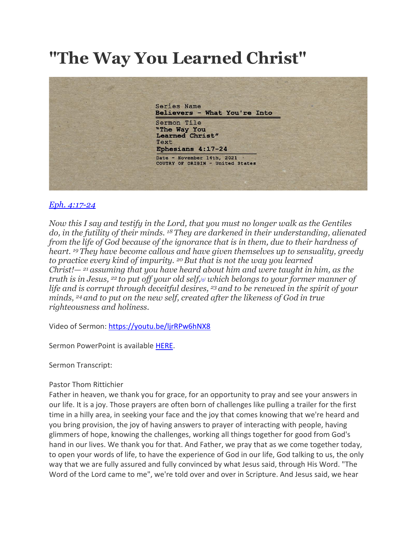## **"The Way You Learned Christ"**



## *[Eph. 4:17-24](https://www.biblegateway.com/passage/?search=Ephesians%204%3A17-24&version=ESV)*

*Now this I say and testify in the Lord, that you must no longer walk as the Gentiles do, in the futility of their minds. <sup>18</sup> They are darkened in their understanding, alienated from the life of God because of the ignorance that is in them, due to their hardness of heart. <sup>19</sup> They have become callous and have given themselves up to sensuality, greedy to practice every kind of impurity. <sup>20</sup>But that is not the way you learned Christ!— <sup>21</sup> assuming that you have heard about him and were taught in him, as the truth is in Jesus, <sup>22</sup> to put off your old self,[\[a\]](https://www.biblegateway.com/passage/?search=Ephesians%204%3A17-24&version=ESV#fen-ESV-29278a) which belongs to your former manner of life and is corrupt through deceitful desires, <sup>23</sup> and to be renewed in the spirit of your minds, <sup>24</sup> and to put on the new self, created after the likeness of God in true righteousness and holiness.*

Video of Sermon: <https://youtu.be/ljrRPw6hNX8>

Sermon PowerPoint is available [HERE.](https://drive.google.com/file/d/1BA28U2OkFNTjtUNYTOMVrwxKvmDKHtZK/view?usp=sharing)

Sermon Transcript:

## Pastor Thom Rittichier

Father in heaven, we thank you for grace, for an opportunity to pray and see your answers in our life. It is a joy. Those prayers are often born of challenges like pulling a trailer for the first time in a hilly area, in seeking your face and the joy that comes knowing that we're heard and you bring provision, the joy of having answers to prayer of interacting with people, having glimmers of hope, knowing the challenges, working all things together for good from God's hand in our lives. We thank you for that. And Father, we pray that as we come together today, to open your words of life, to have the experience of God in our life, God talking to us, the only way that we are fully assured and fully convinced by what Jesus said, through His Word. "The Word of the Lord came to me", we're told over and over in Scripture. And Jesus said, we hear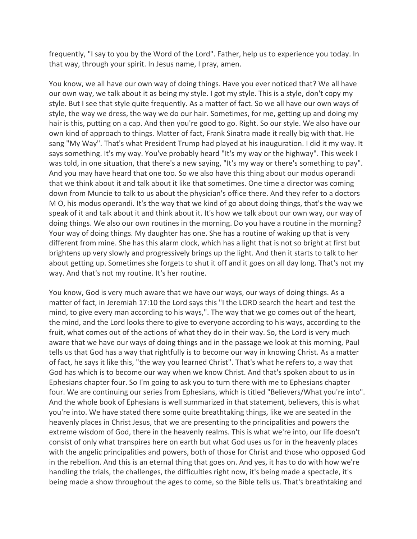frequently, "I say to you by the Word of the Lord". Father, help us to experience you today. In that way, through your spirit. In Jesus name, I pray, amen.

You know, we all have our own way of doing things. Have you ever noticed that? We all have our own way, we talk about it as being my style. I got my style. This is a style, don't copy my style. But I see that style quite frequently. As a matter of fact. So we all have our own ways of style, the way we dress, the way we do our hair. Sometimes, for me, getting up and doing my hair is this, putting on a cap. And then you're good to go. Right. So our style. We also have our own kind of approach to things. Matter of fact, Frank Sinatra made it really big with that. He sang "My Way". That's what President Trump had played at his inauguration. I did it my way. It says something. It's my way. You've probably heard "It's my way or the highway". This week I was told, in one situation, that there's a new saying, "It's my way or there's something to pay". And you may have heard that one too. So we also have this thing about our modus operandi that we think about it and talk about it like that sometimes. One time a director was coming down from Muncie to talk to us about the physician's office there. And they refer to a doctors M O, his modus operandi. It's the way that we kind of go about doing things, that's the way we speak of it and talk about it and think about it. It's how we talk about our own way, our way of doing things. We also our own routines in the morning. Do you have a routine in the morning? Your way of doing things. My daughter has one. She has a routine of waking up that is very different from mine. She has this alarm clock, which has a light that is not so bright at first but brightens up very slowly and progressively brings up the light. And then it starts to talk to her about getting up. Sometimes she forgets to shut it off and it goes on all day long. That's not my way. And that's not my routine. It's her routine.

You know, God is very much aware that we have our ways, our ways of doing things. As a matter of fact, in Jeremiah 17:10 the Lord says this "I the LORD search the heart and test the mind, to give every man according to his ways,". The way that we go comes out of the heart, the mind, and the Lord looks there to give to everyone according to his ways, according to the fruit, what comes out of the actions of what they do in their way. So, the Lord is very much aware that we have our ways of doing things and in the passage we look at this morning, Paul tells us that God has a way that rightfully is to become our way in knowing Christ. As a matter of fact, he says it like this, "the way you learned Christ". That's what he refers to, a way that God has which is to become our way when we know Christ. And that's spoken about to us in Ephesians chapter four. So I'm going to ask you to turn there with me to Ephesians chapter four. We are continuing our series from Ephesians, which is titled "Believers/What you're into". And the whole book of Ephesians is well summarized in that statement, believers, this is what you're into. We have stated there some quite breathtaking things, like we are seated in the heavenly places in Christ Jesus, that we are presenting to the principalities and powers the extreme wisdom of God, there in the heavenly realms. This is what we're into, our life doesn't consist of only what transpires here on earth but what God uses us for in the heavenly places with the angelic principalities and powers, both of those for Christ and those who opposed God in the rebellion. And this is an eternal thing that goes on. And yes, it has to do with how we're handling the trials, the challenges, the difficulties right now, it's being made a spectacle, it's being made a show throughout the ages to come, so the Bible tells us. That's breathtaking and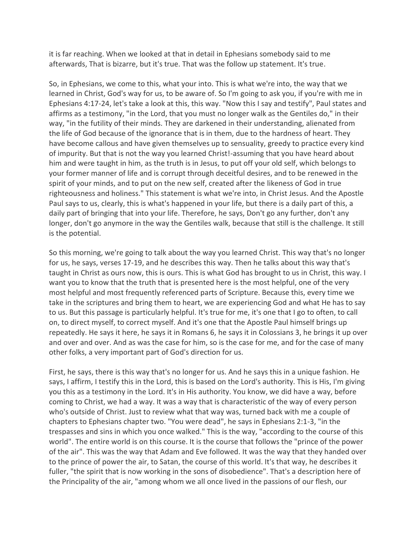it is far reaching. When we looked at that in detail in Ephesians somebody said to me afterwards, That is bizarre, but it's true. That was the follow up statement. It's true.

So, in Ephesians, we come to this, what your into. This is what we're into, the way that we learned in Christ, God's way for us, to be aware of. So I'm going to ask you, if you're with me in Ephesians 4:17-24, let's take a look at this, this way. "Now this I say and testify", Paul states and affirms as a testimony, "in the Lord, that you must no longer walk as the Gentiles do," in their way, "in the futility of their minds. They are darkened in their understanding, alienated from the life of God because of the ignorance that is in them, due to the hardness of heart. They have become callous and have given themselves up to sensuality, greedy to practice every kind of impurity. But that is not the way you learned Christ!-assuming that you have heard about him and were taught in him, as the truth is in Jesus, to put off your old self, which belongs to your former manner of life and is corrupt through deceitful desires, and to be renewed in the spirit of your minds, and to put on the new self, created after the likeness of God in true righteousness and holiness." This statement is what we're into, in Christ Jesus. And the Apostle Paul says to us, clearly, this is what's happened in your life, but there is a daily part of this, a daily part of bringing that into your life. Therefore, he says, Don't go any further, don't any longer, don't go anymore in the way the Gentiles walk, because that still is the challenge. It still is the potential.

So this morning, we're going to talk about the way you learned Christ. This way that's no longer for us, he says, verses 17-19, and he describes this way. Then he talks about this way that's taught in Christ as ours now, this is ours. This is what God has brought to us in Christ, this way. I want you to know that the truth that is presented here is the most helpful, one of the very most helpful and most frequently referenced parts of Scripture. Because this, every time we take in the scriptures and bring them to heart, we are experiencing God and what He has to say to us. But this passage is particularly helpful. It's true for me, it's one that I go to often, to call on, to direct myself, to correct myself. And it's one that the Apostle Paul himself brings up repeatedly. He says it here, he says it in Romans 6, he says it in Colossians 3, he brings it up over and over and over. And as was the case for him, so is the case for me, and for the case of many other folks, a very important part of God's direction for us.

First, he says, there is this way that's no longer for us. And he says this in a unique fashion. He says, I affirm, I testify this in the Lord, this is based on the Lord's authority. This is His, I'm giving you this as a testimony in the Lord. It's in His authority. You know, we did have a way, before coming to Christ, we had a way. It was a way that is characteristic of the way of every person who's outside of Christ. Just to review what that way was, turned back with me a couple of chapters to Ephesians chapter two. "You were dead", he says in Ephesians 2:1-3, "in the trespasses and sins in which you once walked." This is the way, "according to the course of this world". The entire world is on this course. It is the course that follows the "prince of the power of the air". This was the way that Adam and Eve followed. It was the way that they handed over to the prince of power the air, to Satan, the course of this world. It's that way, he describes it fuller, "the spirit that is now working in the sons of disobedience". That's a description here of the Principality of the air, "among whom we all once lived in the passions of our flesh, our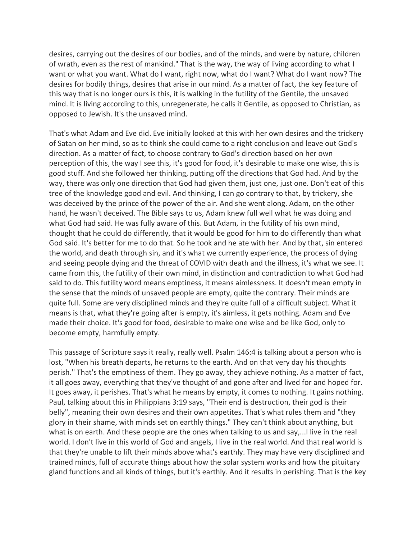desires, carrying out the desires of our bodies, and of the minds, and were by nature, children of wrath, even as the rest of mankind." That is the way, the way of living according to what I want or what you want. What do I want, right now, what do I want? What do I want now? The desires for bodily things, desires that arise in our mind. As a matter of fact, the key feature of this way that is no longer ours is this, it is walking in the futility of the Gentile, the unsaved mind. It is living according to this, unregenerate, he calls it Gentile, as opposed to Christian, as opposed to Jewish. It's the unsaved mind.

That's what Adam and Eve did. Eve initially looked at this with her own desires and the trickery of Satan on her mind, so as to think she could come to a right conclusion and leave out God's direction. As a matter of fact, to choose contrary to God's direction based on her own perception of this, the way I see this, it's good for food, it's desirable to make one wise, this is good stuff. And she followed her thinking, putting off the directions that God had. And by the way, there was only one direction that God had given them, just one, just one. Don't eat of this tree of the knowledge good and evil. And thinking, I can go contrary to that, by trickery, she was deceived by the prince of the power of the air. And she went along. Adam, on the other hand, he wasn't deceived. The Bible says to us, Adam knew full well what he was doing and what God had said. He was fully aware of this. But Adam, in the futility of his own mind, thought that he could do differently, that it would be good for him to do differently than what God said. It's better for me to do that. So he took and he ate with her. And by that, sin entered the world, and death through sin, and it's what we currently experience, the process of dying and seeing people dying and the threat of COVID with death and the illness, it's what we see. It came from this, the futility of their own mind, in distinction and contradiction to what God had said to do. This futility word means emptiness, it means aimlessness. It doesn't mean empty in the sense that the minds of unsaved people are empty, quite the contrary. Their minds are quite full. Some are very disciplined minds and they're quite full of a difficult subject. What it means is that, what they're going after is empty, it's aimless, it gets nothing. Adam and Eve made their choice. It's good for food, desirable to make one wise and be like God, only to become empty, harmfully empty.

This passage of Scripture says it really, really well. Psalm 146:4 is talking about a person who is lost, "When his breath departs, he returns to the earth. And on that very day his thoughts perish." That's the emptiness of them. They go away, they achieve nothing. As a matter of fact, it all goes away, everything that they've thought of and gone after and lived for and hoped for. It goes away, it perishes. That's what he means by empty, it comes to nothing. It gains nothing. Paul, talking about this in Philippians 3:19 says, "Their end is destruction, their god is their belly", meaning their own desires and their own appetites. That's what rules them and "they glory in their shame, with minds set on earthly things." They can't think about anything, but what is on earth. And these people are the ones when talking to us and say,...I live in the real world. I don't live in this world of God and angels, I live in the real world. And that real world is that they're unable to lift their minds above what's earthly. They may have very disciplined and trained minds, full of accurate things about how the solar system works and how the pituitary gland functions and all kinds of things, but it's earthly. And it results in perishing. That is the key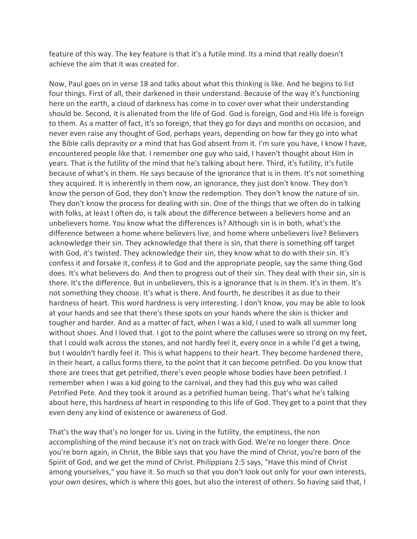feature of this way. The key feature is that it's a futile mind. Its a mind that really doesn't achieve the aim that it was created for.

Now, Paul goes on in verse 18 and talks about what this thinking is like. And he begins to list four things. First of all, their darkened in their understand. Because of the way it's functioning here on the earth, a cloud of darkness has come in to cover over what their understanding should be. Second, it is alienated from the life of God. God is foreign, God and His life is foreign to them. As a matter of fact, it's so foreign, that they go for days and months on occasion, and never even raise any thought of God, perhaps years, depending on how far they go into what the Bible calls depravity or a mind that has God absent from it. I'm sure you have, I know I have, encountered people like that. I remember one guy who said, I haven't thought about Him in years. That is the futility of the mind that he's talking about here. Third, it's futility, it's futile because of what's in them. He says because of the ignorance that is in them. It's not something they acquired. It is inherently in them now, an ignorance, they just don't know. They don't know the person of God, they don't know the redemption. They don't know the nature of sin. They don't know the process for dealing with sin. One of the things that we often do in talking with folks, at least I often do, is talk about the difference between a believers home and an unbelievers home. You know what the differences is? Although sin is in both, what's the difference between a home where believers live, and home where unbelievers live? Believers acknowledge their sin. They acknowledge that there is sin, that there is something off target with God, it's twisted. They acknowledge their sin, they know what to do with their sin. It's confess it and forsake it, confess it to God and the appropriate people, say the same thing God does. It's what believers do. And then to progress out of their sin. They deal with their sin, sin is there. It's the difference. But in unbelievers, this is a ignorance that is in them. It's in them. It's not something they choose. It's what is there. And fourth, he describes it as due to their hardness of heart. This word hardness is very interesting. I don't know, you may be able to look at your hands and see that there's these spots on your hands where the skin is thicker and tougher and harder. And as a matter of fact, when I was a kid, I used to walk all summer long without shoes. And I loved that. I got to the point where the calluses were so strong on my feet, that I could walk across the stones, and not hardly feel it, every once in a while I'd get a twing, but I wouldn't hardly feel it. This is what happens to their heart. They become hardened there, in their heart, a callus forms there, to the point that it can become petrified. Do you know that there are trees that get petrified, there's even people whose bodies have been petrified. I remember when I was a kid going to the carnival, and they had this guy who was called Petrified Pete. And they took it around as a petrified human being. That's what he's talking about here, this hardness of heart in responding to this life of God. They get to a point that they even deny any kind of existence or awareness of God.

That's the way that's no longer for us. Living in the futility, the emptiness, the non accomplishing of the mind because it's not on track with God. We're no longer there. Once you're born again, in Christ, the Bible says that you have the mind of Christ, you're born of the Spirit of God, and we get the mind of Christ. Philippians 2:5 says, "Have this mind of Christ among yourselves," you have it. So much so that you don't look out only for your own interests, your own desires, which is where this goes, but also the interest of others. So having said that, I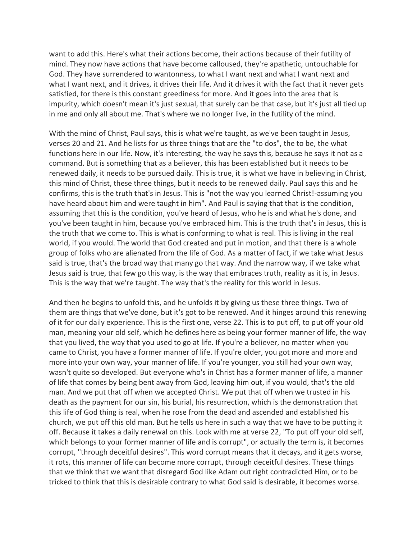want to add this. Here's what their actions become, their actions because of their futility of mind. They now have actions that have become calloused, they're apathetic, untouchable for God. They have surrendered to wantonness, to what I want next and what I want next and what I want next, and it drives, it drives their life. And it drives it with the fact that it never gets satisfied, for there is this constant greediness for more. And it goes into the area that is impurity, which doesn't mean it's just sexual, that surely can be that case, but it's just all tied up in me and only all about me. That's where we no longer live, in the futility of the mind.

With the mind of Christ, Paul says, this is what we're taught, as we've been taught in Jesus, verses 20 and 21. And he lists for us three things that are the "to dos", the to be, the what functions here in our life. Now, it's interesting, the way he says this, because he says it not as a command. But is something that as a believer, this has been established but it needs to be renewed daily, it needs to be pursued daily. This is true, it is what we have in believing in Christ, this mind of Christ, these three things, but it needs to be renewed daily. Paul says this and he confirms, this is the truth that's in Jesus. This is "not the way you learned Christ!-assuming you have heard about him and were taught in him". And Paul is saying that that is the condition, assuming that this is the condition, you've heard of Jesus, who he is and what he's done, and you've been taught in him, because you've embraced him. This is the truth that's in Jesus, this is the truth that we come to. This is what is conforming to what is real. This is living in the real world, if you would. The world that God created and put in motion, and that there is a whole group of folks who are alienated from the life of God. As a matter of fact, if we take what Jesus said is true, that's the broad way that many go that way. And the narrow way, if we take what Jesus said is true, that few go this way, is the way that embraces truth, reality as it is, in Jesus. This is the way that we're taught. The way that's the reality for this world in Jesus.

And then he begins to unfold this, and he unfolds it by giving us these three things. Two of them are things that we've done, but it's got to be renewed. And it hinges around this renewing of it for our daily experience. This is the first one, verse 22. This is to put off, to put off your old man, meaning your old self, which he defines here as being your former manner of life, the way that you lived, the way that you used to go at life. If you're a believer, no matter when you came to Christ, you have a former manner of life. If you're older, you got more and more and more into your own way, your manner of life. If you're younger, you still had your own way, wasn't quite so developed. But everyone who's in Christ has a former manner of life, a manner of life that comes by being bent away from God, leaving him out, if you would, that's the old man. And we put that off when we accepted Christ. We put that off when we trusted in his death as the payment for our sin, his burial, his resurrection, which is the demonstration that this life of God thing is real, when he rose from the dead and ascended and established his church, we put off this old man. But he tells us here in such a way that we have to be putting it off. Because it takes a daily renewal on this. Look with me at verse 22, "To put off your old self, which belongs to your former manner of life and is corrupt", or actually the term is, it becomes corrupt, "through deceitful desires". This word corrupt means that it decays, and it gets worse, it rots, this manner of life can become more corrupt, through deceitful desires. These things that we think that we want that disregard God like Adam out right contradicted Him, or to be tricked to think that this is desirable contrary to what God said is desirable, it becomes worse.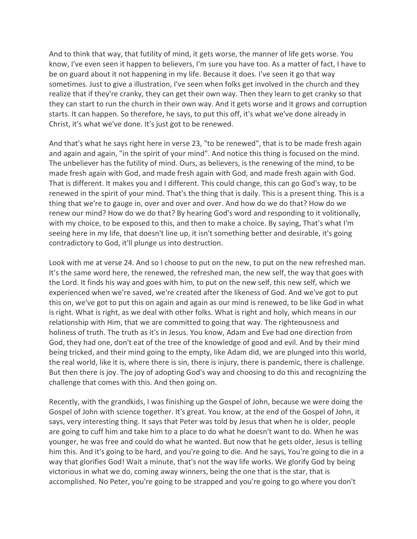And to think that way, that futility of mind, it gets worse, the manner of life gets worse. You know, I've even seen it happen to believers, I'm sure you have too. As a matter of fact, I have to be on guard about it not happening in my life. Because it does. I've seen it go that way sometimes. Just to give a illustration, I've seen when folks get involved in the church and they realize that if they're cranky, they can get their own way. Then they learn to get cranky so that they can start to run the church in their own way. And it gets worse and it grows and corruption starts. It can happen. So therefore, he says, to put this off, it's what we've done already in Christ, it's what we've done. It's just got to be renewed.

And that's what he says right here in verse 23, "to be renewed", that is to be made fresh again and again and again, "in the spirit of your mind". And notice this thing is focused on the mind. The unbeliever has the futility of mind. Ours, as believers, is the renewing of the mind, to be made fresh again with God, and made fresh again with God, and made fresh again with God. That is different. It makes you and I different. This could change, this can go God's way, to be renewed in the spirit of your mind. That's the thing that is daily. This is a present thing. This is a thing that we're to gauge in, over and over and over. And how do we do that? How do we renew our mind? How do we do that? By hearing God's word and responding to it volitionally, with my choice, to be exposed to this, and then to make a choice. By saying, That's what I'm seeing here in my life, that doesn't line up, it isn't something better and desirable, it's going contradictory to God, it'll plunge us into destruction.

Look with me at verse 24. And so I choose to put on the new, to put on the new refreshed man. It's the same word here, the renewed, the refreshed man, the new self, the way that goes with the Lord. It finds his way and goes with him, to put on the new self, this new self, which we experienced when we're saved, we're created after the likeness of God. And we've got to put this on, we've got to put this on again and again as our mind is renewed, to be like God in what is right. What is right, as we deal with other folks. What is right and holy, which means in our relationship with Him, that we are committed to going that way. The righteousness and holiness of truth. The truth as it's in Jesus. You know, Adam and Eve had one direction from God, they had one, don't eat of the tree of the knowledge of good and evil. And by their mind being tricked, and their mind going to the empty, like Adam did, we are plunged into this world, the real world, like it is, where there is sin, there is injury, there is pandemic, there is challenge. But then there is joy. The joy of adopting God's way and choosing to do this and recognizing the challenge that comes with this. And then going on.

Recently, with the grandkids, I was finishing up the Gospel of John, because we were doing the Gospel of John with science together. It's great. You know, at the end of the Gospel of John, it says, very interesting thing. It says that Peter was told by Jesus that when he is older, people are going to cuff him and take him to a place to do what he doesn't want to do. When he was younger, he was free and could do what he wanted. But now that he gets older, Jesus is telling him this. And it's going to be hard, and you're going to die. And he says, You're going to die in a way that glorifies God! Wait a minute, that's not the way life works. We glorify God by being victorious in what we do, coming away winners, being the one that is the star, that is accomplished. No Peter, you're going to be strapped and you're going to go where you don't